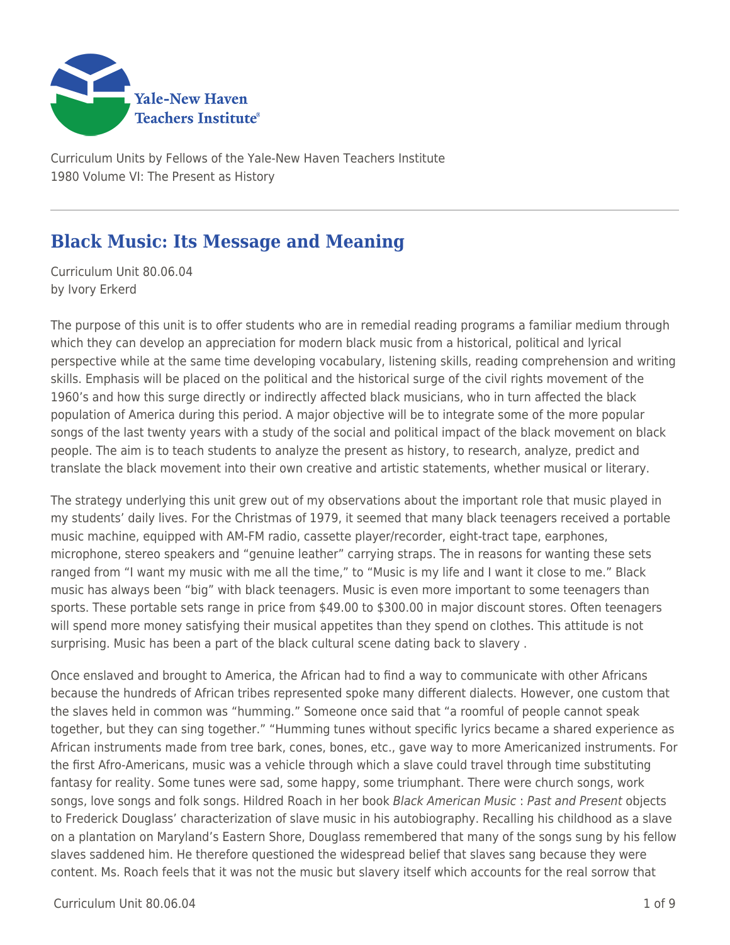

Curriculum Units by Fellows of the Yale-New Haven Teachers Institute 1980 Volume VI: The Present as History

# **Black Music: Its Message and Meaning**

Curriculum Unit 80.06.04 by Ivory Erkerd

The purpose of this unit is to offer students who are in remedial reading programs a familiar medium through which they can develop an appreciation for modern black music from a historical, political and lyrical perspective while at the same time developing vocabulary, listening skills, reading comprehension and writing skills. Emphasis will be placed on the political and the historical surge of the civil rights movement of the 1960's and how this surge directly or indirectly affected black musicians, who in turn affected the black population of America during this period. A major objective will be to integrate some of the more popular songs of the last twenty years with a study of the social and political impact of the black movement on black people. The aim is to teach students to analyze the present as history, to research, analyze, predict and translate the black movement into their own creative and artistic statements, whether musical or literary.

The strategy underlying this unit grew out of my observations about the important role that music played in my students' daily lives. For the Christmas of 1979, it seemed that many black teenagers received a portable music machine, equipped with AM-FM radio, cassette player/recorder, eight-tract tape, earphones, microphone, stereo speakers and "genuine leather" carrying straps. The in reasons for wanting these sets ranged from "I want my music with me all the time," to "Music is my life and I want it close to me." Black music has always been "big" with black teenagers. Music is even more important to some teenagers than sports. These portable sets range in price from \$49.00 to \$300.00 in major discount stores. Often teenagers will spend more money satisfying their musical appetites than they spend on clothes. This attitude is not surprising. Music has been a part of the black cultural scene dating back to slavery .

Once enslaved and brought to America, the African had to find a way to communicate with other Africans because the hundreds of African tribes represented spoke many different dialects. However, one custom that the slaves held in common was "humming." Someone once said that "a roomful of people cannot speak together, but they can sing together." "Humming tunes without specific lyrics became a shared experience as African instruments made from tree bark, cones, bones, etc., gave way to more Americanized instruments. For the first Afro-Americans, music was a vehicle through which a slave could travel through time substituting fantasy for reality. Some tunes were sad, some happy, some triumphant. There were church songs, work songs, love songs and folk songs. Hildred Roach in her book Black American Music : Past and Present objects to Frederick Douglass' characterization of slave music in his autobiography. Recalling his childhood as a slave on a plantation on Maryland's Eastern Shore, Douglass remembered that many of the songs sung by his fellow slaves saddened him. He therefore questioned the widespread belief that slaves sang because they were content. Ms. Roach feels that it was not the music but slavery itself which accounts for the real sorrow that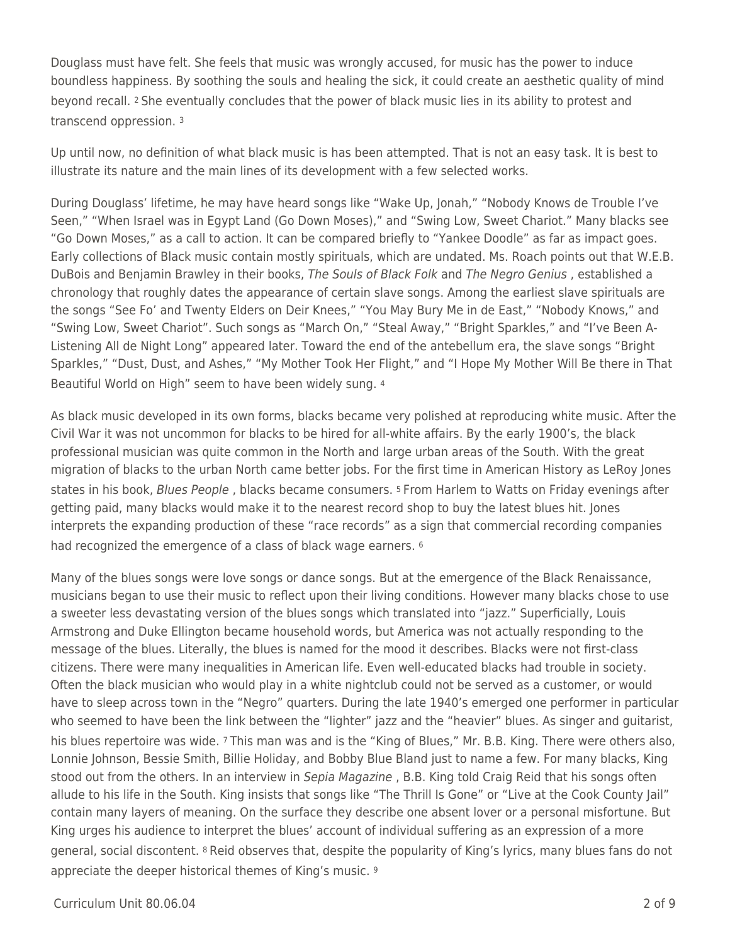Douglass must have felt. She feels that music was wrongly accused, for music has the power to induce boundless happiness. By soothing the souls and healing the sick, it could create an aesthetic quality of mind beyond recall. 2 She eventually concludes that the power of black music lies in its ability to protest and transcend oppression. <sup>3</sup>

Up until now, no definition of what black music is has been attempted. That is not an easy task. It is best to illustrate its nature and the main lines of its development with a few selected works.

During Douglass' lifetime, he may have heard songs like "Wake Up, Jonah," "Nobody Knows de Trouble I've Seen," "When Israel was in Egypt Land (Go Down Moses)," and "Swing Low, Sweet Chariot." Many blacks see "Go Down Moses," as a call to action. It can be compared briefly to "Yankee Doodle" as far as impact goes. Early collections of Black music contain mostly spirituals, which are undated. Ms. Roach points out that W.E.B. DuBois and Benjamin Brawley in their books, The Souls of Black Folk and The Negro Genius , established a chronology that roughly dates the appearance of certain slave songs. Among the earliest slave spirituals are the songs "See Fo' and Twenty Elders on Deir Knees," "You May Bury Me in de East," "Nobody Knows," and "Swing Low, Sweet Chariot". Such songs as "March On," "Steal Away," "Bright Sparkles," and "I've Been A-Listening All de Night Long" appeared later. Toward the end of the antebellum era, the slave songs "Bright Sparkles," "Dust, Dust, and Ashes," "My Mother Took Her Flight," and "I Hope My Mother Will Be there in That Beautiful World on High" seem to have been widely sung. <sup>4</sup>

As black music developed in its own forms, blacks became very polished at reproducing white music. After the Civil War it was not uncommon for blacks to be hired for all-white affairs. By the early 1900's, the black professional musician was quite common in the North and large urban areas of the South. With the great migration of blacks to the urban North came better jobs. For the first time in American History as LeRoy Jones states in his book, Blues People , blacks became consumers. 5 From Harlem to Watts on Friday evenings after getting paid, many blacks would make it to the nearest record shop to buy the latest blues hit. Jones interprets the expanding production of these "race records" as a sign that commercial recording companies had recognized the emergence of a class of black wage earners. <sup>6</sup>

Many of the blues songs were love songs or dance songs. But at the emergence of the Black Renaissance, musicians began to use their music to reflect upon their living conditions. However many blacks chose to use a sweeter less devastating version of the blues songs which translated into "jazz." Superficially, Louis Armstrong and Duke Ellington became household words, but America was not actually responding to the message of the blues. Literally, the blues is named for the mood it describes. Blacks were not first-class citizens. There were many inequalities in American life. Even well-educated blacks had trouble in society. Often the black musician who would play in a white nightclub could not be served as a customer, or would have to sleep across town in the "Negro" quarters. During the late 1940's emerged one performer in particular who seemed to have been the link between the "lighter" jazz and the "heavier" blues. As singer and guitarist, his blues repertoire was wide. 7 This man was and is the "King of Blues," Mr. B.B. King. There were others also, Lonnie Johnson, Bessie Smith, Billie Holiday, and Bobby Blue Bland just to name a few. For many blacks, King stood out from the others. In an interview in Sepia Magazine, B.B. King told Craig Reid that his songs often allude to his life in the South. King insists that songs like "The Thrill Is Gone" or "Live at the Cook County Jail" contain many layers of meaning. On the surface they describe one absent lover or a personal misfortune. But King urges his audience to interpret the blues' account of individual suffering as an expression of a more general, social discontent. 8 Reid observes that, despite the popularity of King's lyrics, many blues fans do not appreciate the deeper historical themes of King's music. 9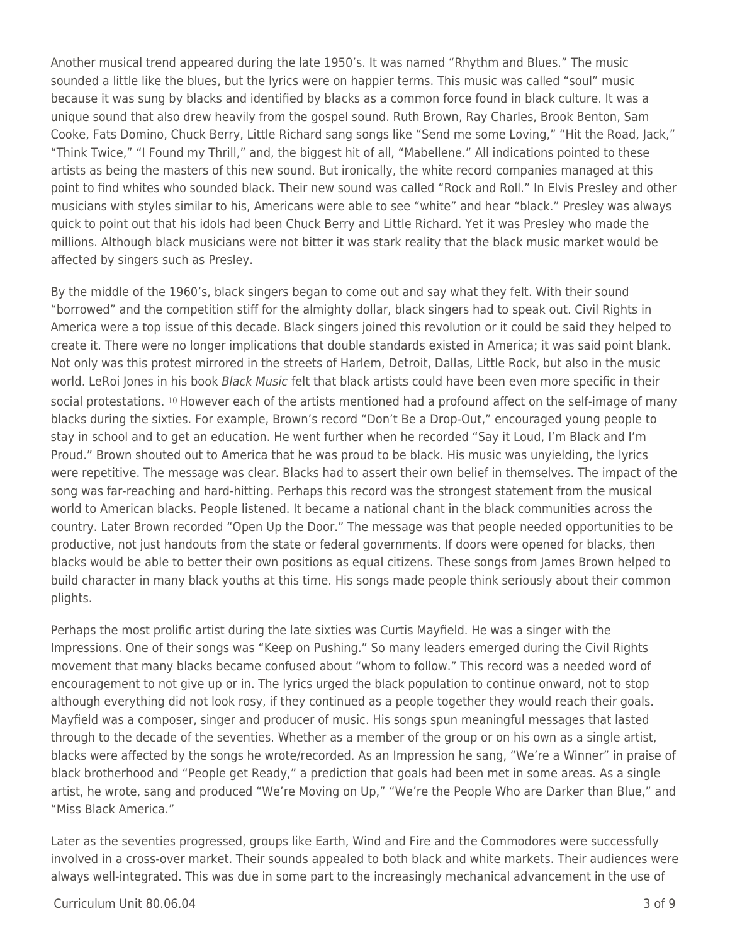Another musical trend appeared during the late 1950's. It was named "Rhythm and Blues." The music sounded a little like the blues, but the lyrics were on happier terms. This music was called "soul" music because it was sung by blacks and identified by blacks as a common force found in black culture. It was a unique sound that also drew heavily from the gospel sound. Ruth Brown, Ray Charles, Brook Benton, Sam Cooke, Fats Domino, Chuck Berry, Little Richard sang songs like "Send me some Loving," "Hit the Road, Jack," "Think Twice," "I Found my Thrill," and, the biggest hit of all, "Mabellene." All indications pointed to these artists as being the masters of this new sound. But ironically, the white record companies managed at this point to find whites who sounded black. Their new sound was called "Rock and Roll." In Elvis Presley and other musicians with styles similar to his, Americans were able to see "white" and hear "black." Presley was always quick to point out that his idols had been Chuck Berry and Little Richard. Yet it was Presley who made the millions. Although black musicians were not bitter it was stark reality that the black music market would be affected by singers such as Presley.

By the middle of the 1960's, black singers began to come out and say what they felt. With their sound "borrowed" and the competition stiff for the almighty dollar, black singers had to speak out. Civil Rights in America were a top issue of this decade. Black singers joined this revolution or it could be said they helped to create it. There were no longer implications that double standards existed in America; it was said point blank. Not only was this protest mirrored in the streets of Harlem, Detroit, Dallas, Little Rock, but also in the music world. LeRoi Jones in his book Black Music felt that black artists could have been even more specific in their social protestations. 10 However each of the artists mentioned had a profound affect on the self-image of many blacks during the sixties. For example, Brown's record "Don't Be a Drop-Out," encouraged young people to stay in school and to get an education. He went further when he recorded "Say it Loud, I'm Black and I'm Proud." Brown shouted out to America that he was proud to be black. His music was unyielding, the lyrics were repetitive. The message was clear. Blacks had to assert their own belief in themselves. The impact of the song was far-reaching and hard-hitting. Perhaps this record was the strongest statement from the musical world to American blacks. People listened. It became a national chant in the black communities across the country. Later Brown recorded "Open Up the Door." The message was that people needed opportunities to be productive, not just handouts from the state or federal governments. If doors were opened for blacks, then blacks would be able to better their own positions as equal citizens. These songs from James Brown helped to build character in many black youths at this time. His songs made people think seriously about their common plights.

Perhaps the most prolific artist during the late sixties was Curtis Mayfield. He was a singer with the Impressions. One of their songs was "Keep on Pushing." So many leaders emerged during the Civil Rights movement that many blacks became confused about "whom to follow." This record was a needed word of encouragement to not give up or in. The lyrics urged the black population to continue onward, not to stop although everything did not look rosy, if they continued as a people together they would reach their goals. Mayfield was a composer, singer and producer of music. His songs spun meaningful messages that lasted through to the decade of the seventies. Whether as a member of the group or on his own as a single artist, blacks were affected by the songs he wrote/recorded. As an Impression he sang, "We're a Winner" in praise of black brotherhood and "People get Ready," a prediction that goals had been met in some areas. As a single artist, he wrote, sang and produced "We're Moving on Up," "We're the People Who are Darker than Blue," and "Miss Black America."

Later as the seventies progressed, groups like Earth, Wind and Fire and the Commodores were successfully involved in a cross-over market. Their sounds appealed to both black and white markets. Their audiences were always well-integrated. This was due in some part to the increasingly mechanical advancement in the use of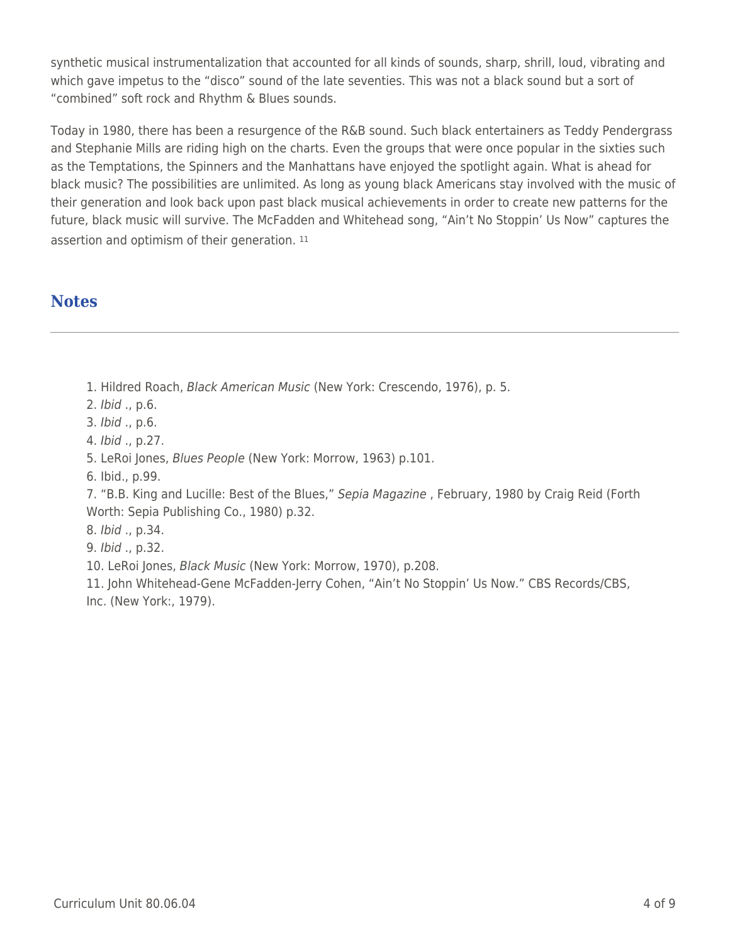synthetic musical instrumentalization that accounted for all kinds of sounds, sharp, shrill, loud, vibrating and which gave impetus to the "disco" sound of the late seventies. This was not a black sound but a sort of "combined" soft rock and Rhythm & Blues sounds.

Today in 1980, there has been a resurgence of the R&B sound. Such black entertainers as Teddy Pendergrass and Stephanie Mills are riding high on the charts. Even the groups that were once popular in the sixties such as the Temptations, the Spinners and the Manhattans have enjoyed the spotlight again. What is ahead for black music? The possibilities are unlimited. As long as young black Americans stay involved with the music of their generation and look back upon past black musical achievements in order to create new patterns for the future, black music will survive. The McFadden and Whitehead song, "Ain't No Stoppin' Us Now" captures the assertion and optimism of their generation. <sup>11</sup>

### **Notes**

1. Hildred Roach, Black American Music (New York: Crescendo, 1976), p. 5.

2. Ibid ., p.6.

3. Ibid ., p.6.

4. Ibid ., p.27.

5. LeRoi Jones, Blues People (New York: Morrow, 1963) p.101.

6. Ibid., p.99.

7. "B.B. King and Lucille: Best of the Blues," Sepia Magazine , February, 1980 by Craig Reid (Forth Worth: Sepia Publishing Co., 1980) p.32.

8. Ibid ., p.34.

9. Ibid ., p.32.

10. LeRoi Jones, Black Music (New York: Morrow, 1970), p.208.

11. John Whitehead-Gene McFadden-Jerry Cohen, "Ain't No Stoppin' Us Now." CBS Records/CBS, Inc. (New York:, 1979).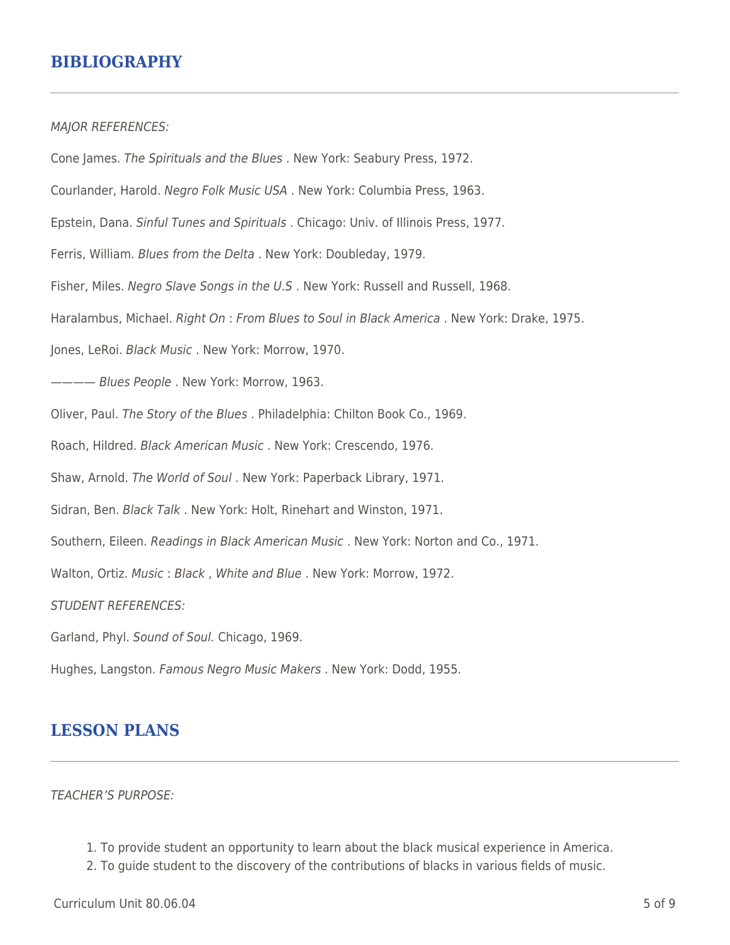### **BIBLIOGRAPHY**

MAJOR REFERENCES:

Cone James. The Spirituals and the Blues . New York: Seabury Press, 1972. Courlander, Harold. Negro Folk Music USA . New York: Columbia Press, 1963. Epstein, Dana. Sinful Tunes and Spirituals . Chicago: Univ. of Illinois Press, 1977. Ferris, William. Blues from the Delta . New York: Doubleday, 1979. Fisher, Miles. Negro Slave Songs in the U.S . New York: Russell and Russell, 1968. Haralambus, Michael. Right On : From Blues to Soul in Black America . New York: Drake, 1975. Jones, LeRoi. Black Music . New York: Morrow, 1970. ---- Blues People . New York: Morrow, 1963. Oliver, Paul. The Story of the Blues . Philadelphia: Chilton Book Co., 1969. Roach, Hildred. Black American Music . New York: Crescendo, 1976. Shaw, Arnold. The World of Soul . New York: Paperback Library, 1971. Sidran, Ben. Black Talk . New York: Holt, Rinehart and Winston, 1971. Southern, Eileen. Readings in Black American Music . New York: Norton and Co., 1971. Walton, Ortiz. Music : Black , White and Blue . New York: Morrow, 1972. STUDENT REFERENCES: Garland, Phyl. Sound of Soul. Chicago, 1969. Hughes, Langston. Famous Negro Music Makers . New York: Dodd, 1955.

### **LESSON PLANS**

TEACHER'S PURPOSE:

- 1. To provide student an opportunity to learn about the black musical experience in America.
- 2. To guide student to the discovery of the contributions of blacks in various fields of music.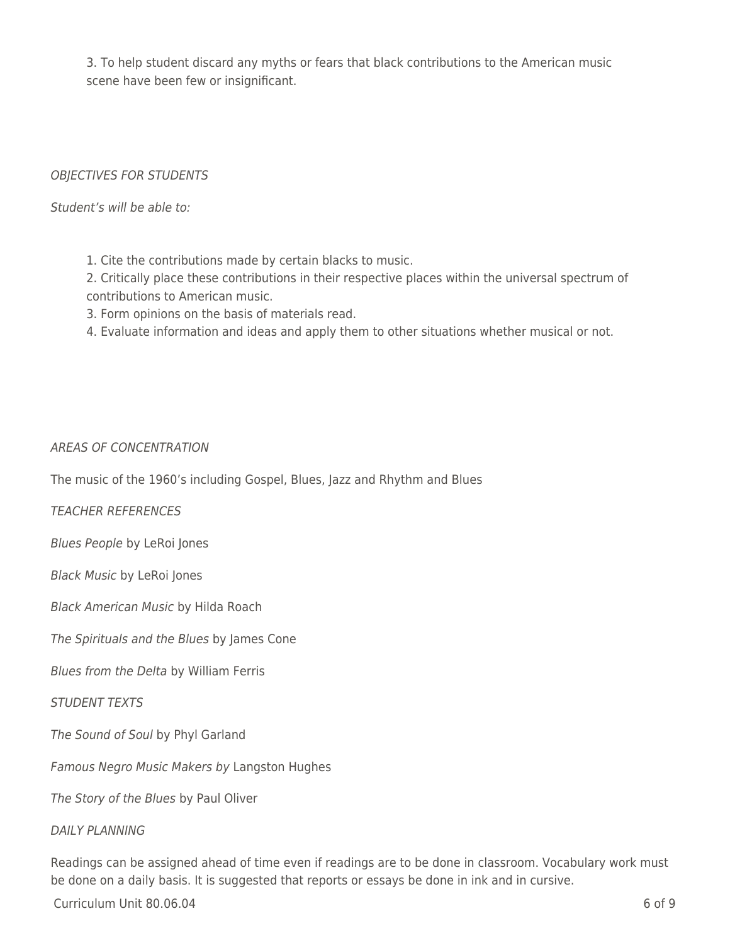3. To help student discard any myths or fears that black contributions to the American music scene have been few or insignificant.

### OBJECTIVES FOR STUDENTS

Student's will be able to:

1. Cite the contributions made by certain blacks to music.

2. Critically place these contributions in their respective places within the universal spectrum of contributions to American music.

3. Form opinions on the basis of materials read.

4. Evaluate information and ideas and apply them to other situations whether musical or not.

### AREAS OF CONCENTRATION

The music of the 1960's including Gospel, Blues, Jazz and Rhythm and Blues

TEACHER REFERENCES

Blues People by LeRoi Jones

Black Music by LeRoi Jones

Black American Music by Hilda Roach

The Spirituals and the Blues by James Cone

Blues from the Delta by William Ferris

#### STUDENT TEXTS

The Sound of Soul by Phyl Garland

Famous Negro Music Makers by Langston Hughes

The Story of the Blues by Paul Oliver

#### DAILY PLANNING

Readings can be assigned ahead of time even if readings are to be done in classroom. Vocabulary work must be done on a daily basis. It is suggested that reports or essays be done in ink and in cursive.

 $Curir$ iulum Unit 80.06.04 6 of 9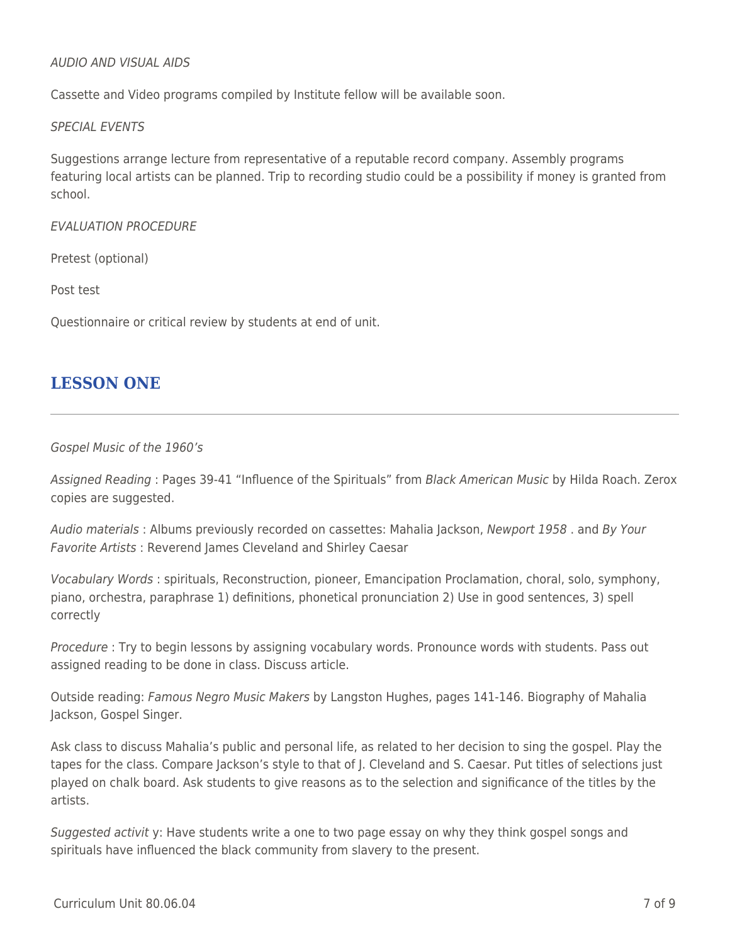#### AUDIO AND VISUAL AIDS

Cassette and Video programs compiled by Institute fellow will be available soon.

#### SPECIAL EVENTS

Suggestions arrange lecture from representative of a reputable record company. Assembly programs featuring local artists can be planned. Trip to recording studio could be a possibility if money is granted from school.

#### EVALUATION PROCEDURE

Pretest (optional)

Post test

Questionnaire or critical review by students at end of unit.

### **LESSON ONE**

#### Gospel Music of the 1960's

Assigned Reading : Pages 39-41 "Influence of the Spirituals" from Black American Music by Hilda Roach. Zerox copies are suggested.

Audio materials : Albums previously recorded on cassettes: Mahalia Jackson, Newport 1958 . and By Your Favorite Artists : Reverend James Cleveland and Shirley Caesar

Vocabulary Words : spirituals, Reconstruction, pioneer, Emancipation Proclamation, choral, solo, symphony, piano, orchestra, paraphrase 1) definitions, phonetical pronunciation 2) Use in good sentences, 3) spell correctly

Procedure : Try to begin lessons by assigning vocabulary words. Pronounce words with students. Pass out assigned reading to be done in class. Discuss article.

Outside reading: Famous Negro Music Makers by Langston Hughes, pages 141-146. Biography of Mahalia Jackson, Gospel Singer.

Ask class to discuss Mahalia's public and personal life, as related to her decision to sing the gospel. Play the tapes for the class. Compare Jackson's style to that of J. Cleveland and S. Caesar. Put titles of selections just played on chalk board. Ask students to give reasons as to the selection and significance of the titles by the artists.

Suggested activit y: Have students write a one to two page essay on why they think gospel songs and spirituals have influenced the black community from slavery to the present.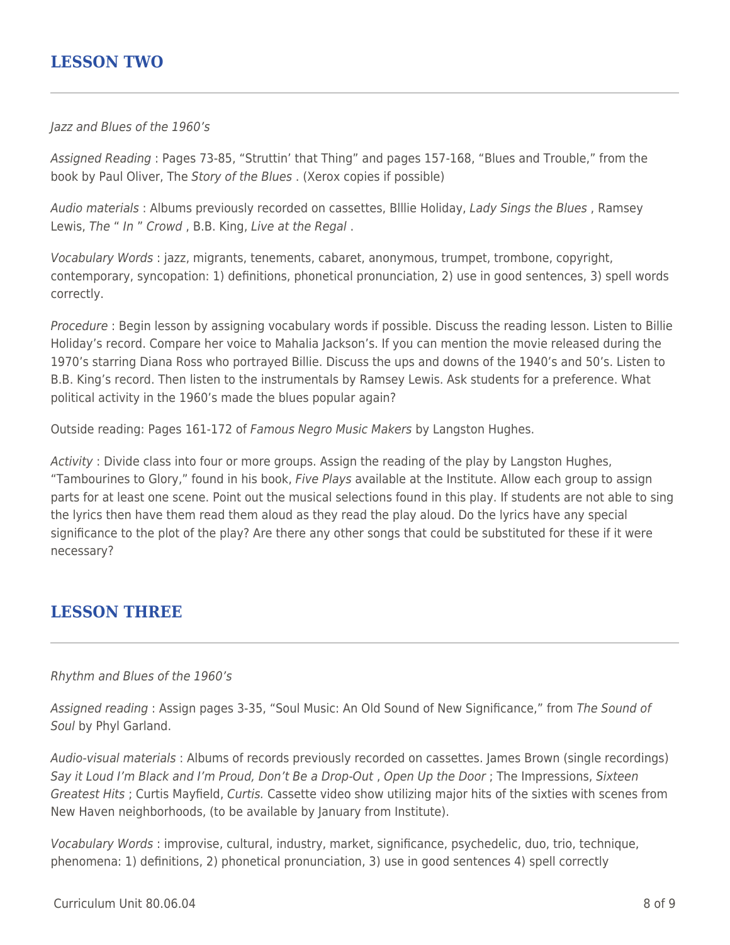## **LESSON TWO**

#### Jazz and Blues of the 1960's

Assigned Reading : Pages 73-85, "Struttin' that Thing" and pages 157-168, "Blues and Trouble," from the book by Paul Oliver, The Story of the Blues . (Xerox copies if possible)

Audio materials : Albums previously recorded on cassettes, Blllie Holiday, Lady Sings the Blues , Ramsey Lewis, The " In " Crowd , B.B. King, Live at the Regal .

Vocabulary Words : jazz, migrants, tenements, cabaret, anonymous, trumpet, trombone, copyright, contemporary, syncopation: 1) definitions, phonetical pronunciation, 2) use in good sentences, 3) spell words correctly.

Procedure : Begin lesson by assigning vocabulary words if possible. Discuss the reading lesson. Listen to Billie Holiday's record. Compare her voice to Mahalia Jackson's. If you can mention the movie released during the 1970's starring Diana Ross who portrayed Billie. Discuss the ups and downs of the 1940's and 50's. Listen to B.B. King's record. Then listen to the instrumentals by Ramsey Lewis. Ask students for a preference. What political activity in the 1960's made the blues popular again?

Outside reading: Pages 161-172 of Famous Negro Music Makers by Langston Hughes.

Activity : Divide class into four or more groups. Assign the reading of the play by Langston Hughes, "Tambourines to Glory," found in his book, Five Plays available at the Institute. Allow each group to assign parts for at least one scene. Point out the musical selections found in this play. If students are not able to sing the lyrics then have them read them aloud as they read the play aloud. Do the lyrics have any special significance to the plot of the play? Are there any other songs that could be substituted for these if it were necessary?

# **LESSON THREE**

#### Rhythm and Blues of the 1960's

Assigned reading : Assign pages 3-35, "Soul Music: An Old Sound of New Significance," from The Sound of Soul by Phyl Garland.

Audio-visual materials : Albums of records previously recorded on cassettes. James Brown (single recordings) Say it Loud I'm Black and I'm Proud, Don't Be a Drop-Out , Open Up the Door ; The Impressions, Sixteen Greatest Hits ; Curtis Mayfield, Curtis. Cassette video show utilizing major hits of the sixties with scenes from New Haven neighborhoods, (to be available by January from Institute).

Vocabulary Words : improvise, cultural, industry, market, significance, psychedelic, duo, trio, technique, phenomena: 1) definitions, 2) phonetical pronunciation, 3) use in good sentences 4) spell correctly